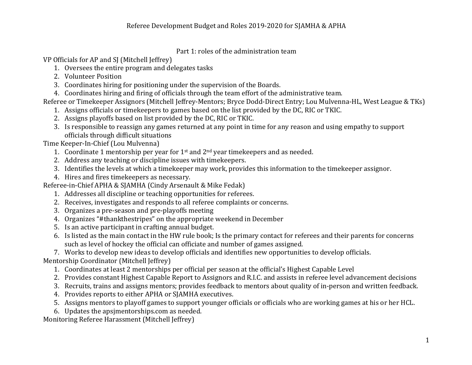## Part 1: roles of the administration team

VP Officials for AP and SJ (Mitchell Jeffrey)

- 1. Oversees the entire program and delegates tasks
- 2. Volunteer Position
- 3. Coordinates hiring for positioning under the supervision of the Boards.
- 4. Coordinates hiring and firing of officials through the team effort of the administrative team.

Referee or Timekeeper Assignors (Mitchell Jeffrey-Mentors; Bryce Dodd-Direct Entry; Lou Mulvenna-HL, West League & TKs)

- 1. Assigns officials or timekeepers to games based on the list provided by the DC, RIC or TKIC.
- 2. Assigns playoffs based on list provided by the DC, RIC or TKIC.
- 3. Is responsible to reassign any games returned at any point in time for any reason and using empathy to support officials through difficult situations

Time Keeper-In-Chief (Lou Mulvenna)

- 1. Coordinate 1 mentorship per year for  $1<sup>st</sup>$  and  $2<sup>nd</sup>$  year timekeepers and as needed.
- 2. Address any teaching or discipline issues with timekeepers.
- 3. Identifies the levels at which a timekeeper may work, provides this information to the timekeeper assignor.
- 4. Hires and fires timekeepers as necessary.

Referee-in-Chief APHA & SJAMHA (Cindy Arsenault & Mike Fedak)

- 1. Addresses all discipline or teaching opportunities for referees.
- 2. Receives, investigates and responds to all referee complaints or concerns.
- 3. Organizes a pre-season and pre-playoffs meeting
- 4. Organizes "#thankthestripes" on the appropriate weekend in December
- 5. Is an active participant in crafting annual budget.
- 6. Is listed as the main contact in the HW rule book; Is the primary contact for referees and their parents for concerns such as level of hockey the official can officiate and number of games assigned.

7. Works to develop new ideas to develop officials and identifies new opportunities to develop officials.

Mentorship Coordinator (Mitchell Jeffrey)

- 1. Coordinates at least 2 mentorships per official per season at the official's Highest Capable Level
- 2. Provides constant Highest Capable Report to Assignors and R.I.C. and assists in referee level advancement decisions
- 3. Recruits, trains and assigns mentors; provides feedback to mentors about quality of in-person and written feedback.
- 4. Provides reports to either APHA or SJAMHA executives.
- 5. Assigns mentors to playoff games to support younger officials or officials who are working games at his or her HCL.
- 6. Updates the apsimentorships.com as needed.

Monitoring Referee Harassment (Mitchell Jeffrey)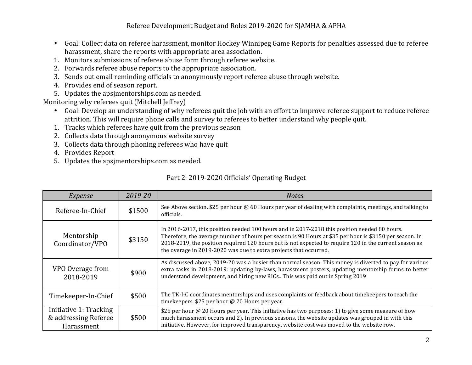## Referee Development Budget and Roles 2019-2020 for SJAMHA & APHA

- Goal: Collect data on referee harassment, monitor Hockey Winnipeg Game Reports for penalties assessed due to referee harassment, share the reports with appropriate area association.
- 1. Monitors submissions of referee abuse form through referee website.
- 2. Forwards referee abuse reports to the appropriate association.
- 3. Sends out email reminding officials to anonymously report referee abuse through website.
- 4. Provides end of season report.
- 5. Updates the apsjmentorships.com as needed.

Monitoring why referees quit (Mitchell Jeffrey)

- Goal: Develop an understanding of why referees quit the job with an effort to improve referee support to reduce referee attrition. This will require phone calls and survey to referees to better understand why people quit.
- 1. Tracks which referees have quit from the previous season
- 2. Collects data through anonymous website survey
- 3. Collects data through phoning referees who have quit
- 4. Provides Report
- 5. Updates the apsimentorships.com as needed.

| <i>Expense</i> | 2019-20 | <b>Notes</b>                                                                                  |
|----------------|---------|-----------------------------------------------------------------------------------------------|
| ree-In-Chief   | \$1500  | See Above section. \$25 per hour @ 60 Hours per year of dealing with complaints<br>officials. |
|                |         | In 2016, 2017, this position pooded 100 hours and in 2017, 2018 this position $p_0$           |

## Part 2: 2019-2020 Officials' Operating Budget

| Referee-In-Chief                                             | \$1500 | See Above section. \$25 per hour @ 60 Hours per year of dealing with complaints, meetings, and talking to<br>officials.                                                                                                                                                                                                                                                                |
|--------------------------------------------------------------|--------|----------------------------------------------------------------------------------------------------------------------------------------------------------------------------------------------------------------------------------------------------------------------------------------------------------------------------------------------------------------------------------------|
| Mentorship<br>Coordinator/VPO                                | \$3150 | In 2016-2017, this position needed 100 hours and in 2017-2018 this position needed 80 hours.<br>Therefore, the average number of hours per season is 90 Hours at \$35 per hour is \$3150 per season. In<br>2018-2019, the position required 120 hours but is not expected to require 120 in the current season as<br>the overage in 2019-2020 was due to extra projects that occurred. |
| VPO Overage from<br>2018-2019                                | \$900  | As discussed above, 2019-20 was a busier than normal season. This money is diverted to pay for various<br>extra tasks in 2018-2019: updating by-laws, harassment posters, updating mentorship forms to better<br>understand development, and hiring new RICs This was paid out in Spring 2019                                                                                          |
| Timekeeper-In-Chief                                          | \$500  | The TK-I-C coordinates mentorships and uses complaints or feedback about time keepers to teach the<br>timekeepers. \$25 per hour @ 20 Hours per year.                                                                                                                                                                                                                                  |
| Initiative 1: Tracking<br>& addressing Referee<br>Harassment | \$500  | \$25 per hour @ 20 Hours per year. This initiative has two purposes: 1) to give some measure of how<br>much harassment occurs and 2). In previous seasons, the website updates was grouped in with this<br>initiative. However, for improved transparency, website cost was moved to the website row.                                                                                  |